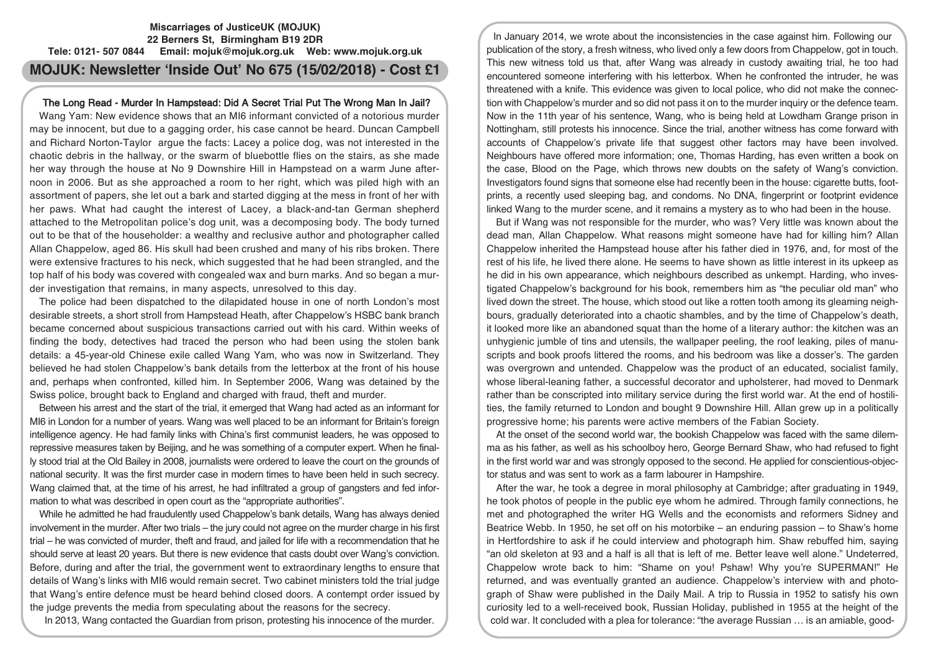# **Miscarriages of JusticeUK (MOJUK) 22 Berners St, Birmingham B19 2DR Tele: 0121- 507 0844 Email: mojuk@mojuk.org.uk Web: www.mojuk.org.uk**

# **MOJUK: Newsletter 'Inside Out' No 675 (15/02/2018) - Cost £1**

## The Long Read - Murder In Hampstead: Did A Secret Trial Put The Wrong Man In Jail?

Wang Yam: New evidence shows that an MI6 informant convicted of a notorious murder may be innocent, but due to a gagging order, his case cannot be heard. Duncan Campbell and Richard Norton-Taylor argue the facts: Lacey a police dog, was not interested in the chaotic debris in the hallway, or the swarm of bluebottle flies on the stairs, as she made her way through the house at No 9 Downshire Hill in Hampstead on a warm June afternoon in 2006. But as she approached a room to her right, which was piled high with an assortment of papers, she let out a bark and started digging at the mess in front of her with her paws. What had caught the interest of Lacey, a black-and-tan German shepherd attached to the Metropolitan police's dog unit, was a decomposing body. The body turned out to be that of the householder: a wealthy and reclusive author and photographer called Allan Chappelow, aged 86. His skull had been crushed and many of his ribs broken. There were extensive fractures to his neck, which suggested that he had been strangled, and the top half of his body was covered with congealed wax and burn marks. And so began a murder investigation that remains, in many aspects, unresolved to this day.

The police had been dispatched to the dilapidated house in one of north London's most desirable streets, a short stroll from Hampstead Heath, after Chappelow's HSBC bank branch became concerned about suspicious transactions carried out with his card. Within weeks of finding the body, detectives had traced the person who had been using the stolen bank details: a 45-year-old Chinese exile called Wang Yam, who was now in Switzerland. They believed he had stolen Chappelow's bank details from the letterbox at the front of his house and, perhaps when confronted, killed him. In September 2006, Wang was detained by the Swiss police, brought back to England and charged with fraud, theft and murder.

Between his arrest and the start of the trial, it emerged that Wang had acted as an informant for MI6 in London for a number of years. Wang was well placed to be an informant for Britain's foreign intelligence agency. He had family links with China's first communist leaders, he was opposed to repressive measures taken by Beijing, and he was something of a computer expert. When he finally stood trial at the Old Bailey in 2008, journalists were ordered to leave the court on the grounds of national security. It was the first murder case in modern times to have been held in such secrecy. Wang claimed that, at the time of his arrest, he had infiltrated a group of gangsters and fed information to what was described in open court as the "appropriate authorities".

While he admitted he had fraudulently used Chappelow's bank details, Wang has always denied involvement in the murder. After two trials – the jury could not agree on the murder charge in his first trial – he was convicted of murder, theft and fraud, and jailed for life with a recommendation that he should serve at least 20 years. But there is new evidence that casts doubt over Wang's conviction. Before, during and after the trial, the government went to extraordinary lengths to ensure that details of Wang's links with MI6 would remain secret. Two cabinet ministers told the trial judge that Wang's entire defence must be heard behind closed doors. A contempt order issued by the judge prevents the media from speculating about the reasons for the secrecy.

In 2013, Wang contacted the Guardian from prison, protesting his innocence of the murder.

In January 2014, we wrote about the inconsistencies in the case against him. Following our publication of the story, a fresh witness, who lived only a few doors from Chappelow, got in touch. This new witness told us that, after Wang was already in custody awaiting trial, he too had encountered someone interfering with his letterbox. When he confronted the intruder, he was threatened with a knife. This evidence was given to local police, who did not make the connection with Chappelow's murder and so did not pass it on to the murder inquiry or the defence team. Now in the 11th year of his sentence, Wang, who is being held at Lowdham Grange prison in Nottingham, still protests his innocence. Since the trial, another witness has come forward with accounts of Chappelow's private life that suggest other factors may have been involved. Neighbours have offered more information; one, Thomas Harding, has even written a book on the case, Blood on the Page, which throws new doubts on the safety of Wang's conviction. Investigators found signs that someone else had recently been in the house: cigarette butts, footprints, a recently used sleeping bag, and condoms. No DNA, fingerprint or footprint evidence linked Wang to the murder scene, and it remains a mystery as to who had been in the house.

But if Wang was not responsible for the murder, who was? Very little was known about the dead man, Allan Chappelow. What reasons might someone have had for killing him? Allan Chappelow inherited the Hampstead house after his father died in 1976, and, for most of the rest of his life, he lived there alone. He seems to have shown as little interest in its upkeep as he did in his own appearance, which neighbours described as unkempt. Harding, who investigated Chappelow's background for his book, remembers him as "the peculiar old man" who lived down the street. The house, which stood out like a rotten tooth among its gleaming neighbours, gradually deteriorated into a chaotic shambles, and by the time of Chappelow's death, it looked more like an abandoned squat than the home of a literary author: the kitchen was an unhygienic jumble of tins and utensils, the wallpaper peeling, the roof leaking, piles of manuscripts and book proofs littered the rooms, and his bedroom was like a dosser's. The garden was overgrown and untended. Chappelow was the product of an educated, socialist family, whose liberal-leaning father, a successful decorator and upholsterer, had moved to Denmark rather than be conscripted into military service during the first world war. At the end of hostilities, the family returned to London and bought 9 Downshire Hill. Allan grew up in a politically progressive home; his parents were active members of the Fabian Society.

At the onset of the second world war, the bookish Chappelow was faced with the same dilemma as his father, as well as his schoolboy hero, George Bernard Shaw, who had refused to fight in the first world war and was strongly opposed to the second. He applied for conscientious-objector status and was sent to work as a farm labourer in Hampshire.

After the war, he took a degree in moral philosophy at Cambridge; after graduating in 1949, he took photos of people in the public eye whom he admired. Through family connections, he met and photographed the writer HG Wells and the economists and reformers Sidney and Beatrice Webb. In 1950, he set off on his motorbike  $-$  an enduring passion  $-$  to Shaw's home in Hertfordshire to ask if he could interview and photograph him. Shaw rebuffed him, saying "an old skeleton at 93 and a half is all that is left of me. Better leave well alone." Undeterred, Chappelow wrote back to him: "Shame on you! Pshaw! Why you're SUPERMAN!" He returned, and was eventually granted an audience. Chappelow's interview with and photograph of Shaw were published in the Daily Mail. A trip to Russia in 1952 to satisfy his own curiosity led to a well-received book, Russian Holiday, published in 1955 at the height of the cold war. It concluded with a plea for tolerance: "the average Russian … is an amiable, good-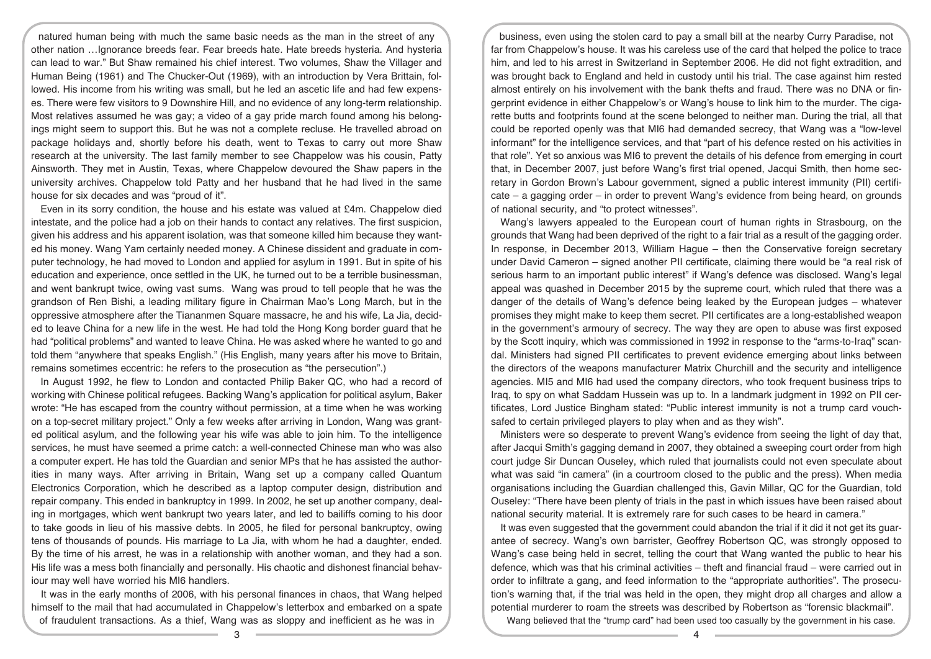natured human being with much the same basic needs as the man in the street of any other nation …Ignorance breeds fear. Fear breeds hate. Hate breeds hysteria. And hysteria can lead to war." But Shaw remained his chief interest. Two volumes, Shaw the Villager and Human Being (1961) and The Chucker-Out (1969), with an introduction by Vera Brittain, followed. His income from his writing was small, but he led an ascetic life and had few expenses. There were few visitors to 9 Downshire Hill, and no evidence of any long-term relationship. Most relatives assumed he was gay; a video of a gay pride march found among his belongings might seem to support this. But he was not a complete recluse. He travelled abroad on package holidays and, shortly before his death, went to Texas to carry out more Shaw research at the university. The last family member to see Chappelow was his cousin, Patty Ainsworth. They met in Austin, Texas, where Chappelow devoured the Shaw papers in the university archives. Chappelow told Patty and her husband that he had lived in the same house for six decades and was "proud of it".

Even in its sorry condition, the house and his estate was valued at £4m. Chappelow died intestate, and the police had a job on their hands to contact any relatives. The first suspicion, given his address and his apparent isolation, was that someone killed him because they wanted his money. Wang Yam certainly needed money. A Chinese dissident and graduate in computer technology, he had moved to London and applied for asylum in 1991. But in spite of his education and experience, once settled in the UK, he turned out to be a terrible businessman, and went bankrupt twice, owing vast sums. Wang was proud to tell people that he was the grandson of Ren Bishi, a leading military figure in Chairman Mao's Long March, but in the oppressive atmosphere after the Tiananmen Square massacre, he and his wife, La Jia, decided to leave China for a new life in the west. He had told the Hong Kong border guard that he had "political problems" and wanted to leave China. He was asked where he wanted to go and told them "anywhere that speaks English." (His English, many years after his move to Britain, remains sometimes eccentric: he refers to the prosecution as "the persecution".)

In August 1992, he flew to London and contacted Philip Baker QC, who had a record of working with Chinese political refugees. Backing Wang's application for political asylum, Baker wrote: "He has escaped from the country without permission, at a time when he was working on a top-secret military project." Only a few weeks after arriving in London, Wang was granted political asylum, and the following year his wife was able to join him. To the intelligence services, he must have seemed a prime catch: a well-connected Chinese man who was also a computer expert. He has told the Guardian and senior MPs that he has assisted the authorities in many ways. After arriving in Britain, Wang set up a company called Quantum Electronics Corporation, which he described as a laptop computer design, distribution and repair company. This ended in bankruptcy in 1999. In 2002, he set up another company, dealing in mortgages, which went bankrupt two years later, and led to bailiffs coming to his door to take goods in lieu of his massive debts. In 2005, he filed for personal bankruptcy, owing tens of thousands of pounds. His marriage to La Jia, with whom he had a daughter, ended. By the time of his arrest, he was in a relationship with another woman, and they had a son. His life was a mess both financially and personally. His chaotic and dishonest financial behaviour may well have worried his MI6 handlers.

It was in the early months of 2006, with his personal finances in chaos, that Wang helped himself to the mail that had accumulated in Chappelow's letterbox and embarked on a spate of fraudulent transactions. As a thief, Wang was as sloppy and inefficient as he was in

business, even using the stolen card to pay a small bill at the nearby Curry Paradise, not far from Chappelow's house. It was his careless use of the card that helped the police to trace him, and led to his arrest in Switzerland in September 2006. He did not fight extradition, and was brought back to England and held in custody until his trial. The case against him rested almost entirely on his involvement with the bank thefts and fraud. There was no DNA or fingerprint evidence in either Chappelow's or Wang's house to link him to the murder. The cigarette butts and footprints found at the scene belonged to neither man. During the trial, all that could be reported openly was that MI6 had demanded secrecy, that Wang was a "low-level informant" for the intelligence services, and that "part of his defence rested on his activities in that role". Yet so anxious was MI6 to prevent the details of his defence from emerging in court that, in December 2007, just before Wang's first trial opened, Jacqui Smith, then home secretary in Gordon Brown's Labour government, signed a public interest immunity (PII) certificate – a gagging order – in order to prevent Wang's evidence from being heard, on grounds of national security, and "to protect witnesses".

Wang's lawyers appealed to the European court of human rights in Strasbourg, on the grounds that Wang had been deprived of the right to a fair trial as a result of the gagging order. In response, in December 2013, William Hague – then the Conservative foreign secretary under David Cameron – signed another PII certificate, claiming there would be "a real risk of serious harm to an important public interest" if Wang's defence was disclosed. Wang's legal appeal was quashed in December 2015 by the supreme court, which ruled that there was a danger of the details of Wang's defence being leaked by the European judges – whatever promises they might make to keep them secret. PII certificates are a long-established weapon in the government's armoury of secrecy. The way they are open to abuse was first exposed by the Scott inquiry, which was commissioned in 1992 in response to the "arms-to-Iraq" scandal. Ministers had signed PII certificates to prevent evidence emerging about links between the directors of the weapons manufacturer Matrix Churchill and the security and intelligence agencies. MI5 and MI6 had used the company directors, who took frequent business trips to Iraq, to spy on what Saddam Hussein was up to. In a landmark judgment in 1992 on PII certificates, Lord Justice Bingham stated: "Public interest immunity is not a trump card vouchsafed to certain privileged players to play when and as they wish".

Ministers were so desperate to prevent Wang's evidence from seeing the light of day that, after Jacqui Smith's gagging demand in 2007, they obtained a sweeping court order from high court judge Sir Duncan Ouseley, which ruled that journalists could not even speculate about what was said "in camera" (in a courtroom closed to the public and the press). When media organisations including the Guardian challenged this, Gavin Millar, QC for the Guardian, told Ouseley: "There have been plenty of trials in the past in which issues have been raised about national security material. It is extremely rare for such cases to be heard in camera."

It was even suggested that the government could abandon the trial if it did it not get its guarantee of secrecy. Wang's own barrister, Geoffrey Robertson QC, was strongly opposed to Wang's case being held in secret, telling the court that Wang wanted the public to hear his defence, which was that his criminal activities – theft and financial fraud – were carried out in order to infiltrate a gang, and feed information to the "appropriate authorities". The prosecution's warning that, if the trial was held in the open, they might drop all charges and allow a potential murderer to roam the streets was described by Robertson as "forensic blackmail".

Wang believed that the "trump card" had been used too casually by the government in his case.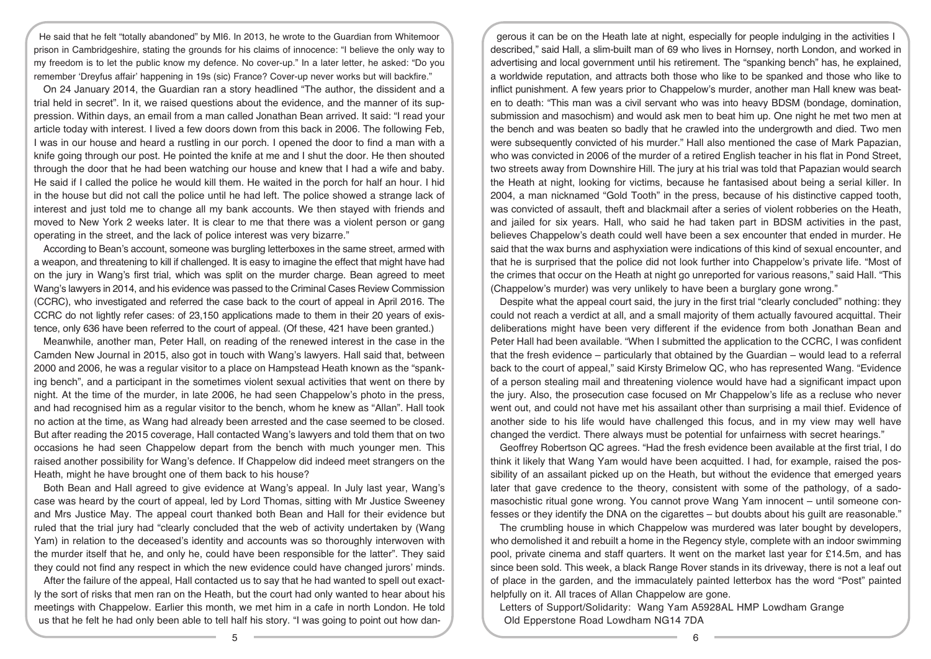He said that he felt "totally abandoned" by MI6. In 2013, he wrote to the Guardian from Whitemoor prison in Cambridgeshire, stating the grounds for his claims of innocence: "I believe the only way to my freedom is to let the public know my defence. No cover-up." In a later letter, he asked: "Do you remember 'Dreyfus affair' happening in 19s (sic) France? Cover-up never works but will backfire."

On 24 January 2014, the Guardian ran a story headlined "The author, the dissident and a trial held in secret". In it, we raised questions about the evidence, and the manner of its suppression. Within days, an email from a man called Jonathan Bean arrived. It said: "I read your article today with interest. I lived a few doors down from this back in 2006. The following Feb, I was in our house and heard a rustling in our porch. I opened the door to find a man with a knife going through our post. He pointed the knife at me and I shut the door. He then shouted through the door that he had been watching our house and knew that I had a wife and baby. He said if I called the police he would kill them. He waited in the porch for half an hour. I hid in the house but did not call the police until he had left. The police showed a strange lack of interest and just told me to change all my bank accounts. We then stayed with friends and moved to New York 2 weeks later. It is clear to me that there was a violent person or gang operating in the street, and the lack of police interest was very bizarre."

According to Bean's account, someone was burgling letterboxes in the same street, armed with a weapon, and threatening to kill if challenged. It is easy to imagine the effect that might have had on the jury in Wang's first trial, which was split on the murder charge. Bean agreed to meet Wang's lawyers in 2014, and his evidence was passed to the Criminal Cases Review Commission (CCRC), who investigated and referred the case back to the court of appeal in April 2016. The CCRC do not lightly refer cases: of 23,150 applications made to them in their 20 years of existence, only 636 have been referred to the court of appeal. (Of these, 421 have been granted.)

Meanwhile, another man, Peter Hall, on reading of the renewed interest in the case in the Camden New Journal in 2015, also got in touch with Wang's lawyers. Hall said that, between 2000 and 2006, he was a regular visitor to a place on Hampstead Heath known as the "spanking bench", and a participant in the sometimes violent sexual activities that went on there by night. At the time of the murder, in late 2006, he had seen Chappelow's photo in the press, and had recognised him as a regular visitor to the bench, whom he knew as "Allan". Hall took no action at the time, as Wang had already been arrested and the case seemed to be closed. But after reading the 2015 coverage, Hall contacted Wang's lawyers and told them that on two occasions he had seen Chappelow depart from the bench with much younger men. This raised another possibility for Wang's defence. If Chappelow did indeed meet strangers on the Heath, might he have brought one of them back to his house?

Both Bean and Hall agreed to give evidence at Wang's appeal. In July last year, Wang's case was heard by the court of appeal, led by Lord Thomas, sitting with Mr Justice Sweeney and Mrs Justice May. The appeal court thanked both Bean and Hall for their evidence but ruled that the trial jury had "clearly concluded that the web of activity undertaken by (Wang Yam) in relation to the deceased's identity and accounts was so thoroughly interwoven with the murder itself that he, and only he, could have been responsible for the latter". They said they could not find any respect in which the new evidence could have changed jurors' minds.

After the failure of the appeal, Hall contacted us to say that he had wanted to spell out exactly the sort of risks that men ran on the Heath, but the court had only wanted to hear about his meetings with Chappelow. Earlier this month, we met him in a cafe in north London. He told us that he felt he had only been able to tell half his story. "I was going to point out how dan-

gerous it can be on the Heath late at night, especially for people indulging in the activities I described," said Hall, a slim-built man of 69 who lives in Hornsey, north London, and worked in advertising and local government until his retirement. The "spanking bench" has, he explained, a worldwide reputation, and attracts both those who like to be spanked and those who like to inflict punishment. A few years prior to Chappelow's murder, another man Hall knew was beaten to death: "This man was a civil servant who was into heavy BDSM (bondage, domination, submission and masochism) and would ask men to beat him up. One night he met two men at the bench and was beaten so badly that he crawled into the undergrowth and died. Two men were subsequently convicted of his murder." Hall also mentioned the case of Mark Papazian, who was convicted in 2006 of the murder of a retired English teacher in his flat in Pond Street, two streets away from Downshire Hill. The jury at his trial was told that Papazian would search the Heath at night, looking for victims, because he fantasised about being a serial killer. In 2004, a man nicknamed "Gold Tooth" in the press, because of his distinctive capped tooth, was convicted of assault, theft and blackmail after a series of violent robberies on the Heath, and jailed for six years. Hall, who said he had taken part in BDSM activities in the past, believes Chappelow's death could well have been a sex encounter that ended in murder. He said that the wax burns and asphyxiation were indications of this kind of sexual encounter, and that he is surprised that the police did not look further into Chappelow's private life. "Most of the crimes that occur on the Heath at night go unreported for various reasons," said Hall. "This (Chappelow's murder) was very unlikely to have been a burglary gone wrong."

Despite what the appeal court said, the jury in the first trial "clearly concluded" nothing: they could not reach a verdict at all, and a small majority of them actually favoured acquittal. Their deliberations might have been very different if the evidence from both Jonathan Bean and Peter Hall had been available. "When I submitted the application to the CCRC, I was confident that the fresh evidence – particularly that obtained by the Guardian – would lead to a referral back to the court of appeal," said Kirsty Brimelow QC, who has represented Wang. "Evidence of a person stealing mail and threatening violence would have had a significant impact upon the jury. Also, the prosecution case focused on Mr Chappelow's life as a recluse who never went out, and could not have met his assailant other than surprising a mail thief. Evidence of another side to his life would have challenged this focus, and in my view may well have changed the verdict. There always must be potential for unfairness with secret hearings."

Geoffrey Robertson QC agrees. "Had the fresh evidence been available at the first trial, I do think it likely that Wang Yam would have been acquitted. I had, for example, raised the possibility of an assailant picked up on the Heath, but without the evidence that emerged years later that gave credence to the theory, consistent with some of the pathology, of a sadomasochistic ritual gone wrong. You cannot prove Wang Yam innocent – until someone confesses or they identify the DNA on the cigarettes – but doubts about his guilt are reasonable."

The crumbling house in which Chappelow was murdered was later bought by developers, who demolished it and rebuilt a home in the Regency style, complete with an indoor swimming pool, private cinema and staff quarters. It went on the market last year for £14.5m, and has since been sold. This week, a black Range Rover stands in its driveway, there is not a leaf out of place in the garden, and the immaculately painted letterbox has the word "Post" painted helpfully on it. All traces of Allan Chappelow are gone.

Letters of Support/Solidarity: Wang Yam A5928AL HMP Lowdham Grange Old Epperstone Road Lowdham NG14 7DA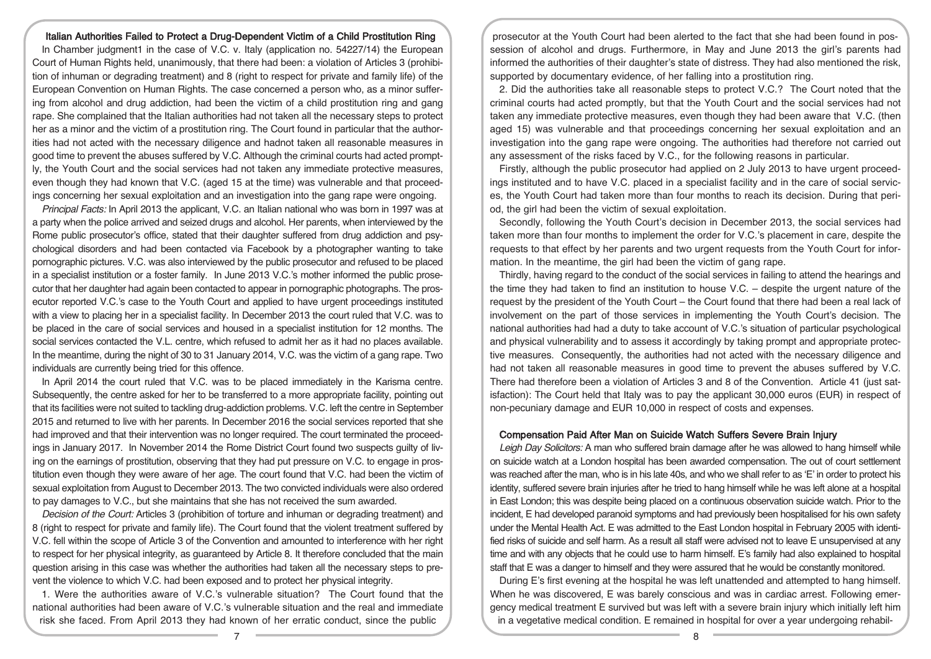### Italian Authorities Failed to Protect a Drug-Dependent Victim of a Child Prostitution Ring

In Chamber judgment1 in the case of V.C. v. Italy (application no. 54227/14) the European Court of Human Rights held, unanimously, that there had been: a violation of Articles 3 (prohibition of inhuman or degrading treatment) and 8 (right to respect for private and family life) of the European Convention on Human Rights. The case concerned a person who, as a minor suffering from alcohol and drug addiction, had been the victim of a child prostitution ring and gang rape. She complained that the Italian authorities had not taken all the necessary steps to protect her as a minor and the victim of a prostitution ring. The Court found in particular that the authorities had not acted with the necessary diligence and hadnot taken all reasonable measures in good time to prevent the abuses suffered by V.C. Although the criminal courts had acted promptly, the Youth Court and the social services had not taken any immediate protective measures, even though they had known that V.C. (aged 15 at the time) was vulnerable and that proceedings concerning her sexual exploitation and an investigation into the gang rape were ongoing.

Principal Facts: In April 2013 the applicant, V.C. an Italian national who was born in 1997 was at a party when the police arrived and seized drugs and alcohol. Her parents, when interviewed by the Rome public prosecutor's office, stated that their daughter suffered from drug addiction and psychological disorders and had been contacted via Facebook by a photographer wanting to take pornographic pictures. V.C. was also interviewed by the public prosecutor and refused to be placed in a specialist institution or a foster family. In June 2013 V.C.'s mother informed the public prosecutor that her daughter had again been contacted to appear in pornographic photographs. The prosecutor reported V.C.'s case to the Youth Court and applied to have urgent proceedings instituted with a view to placing her in a specialist facility. In December 2013 the court ruled that V.C. was to be placed in the care of social services and housed in a specialist institution for 12 months. The social services contacted the V.L. centre, which refused to admit her as it had no places available. In the meantime, during the night of 30 to 31 January 2014, V.C. was the victim of a gang rape. Two individuals are currently being tried for this offence.

In April 2014 the court ruled that V.C. was to be placed immediately in the Karisma centre. Subsequently, the centre asked for her to be transferred to a more appropriate facility, pointing out that its facilities were not suited to tackling drug-addiction problems. V.C. left the centre in September 2015 and returned to live with her parents. In December 2016 the social services reported that she had improved and that their intervention was no longer required. The court terminated the proceedings in January 2017. In November 2014 the Rome District Court found two suspects guilty of living on the earnings of prostitution, observing that they had put pressure on V.C. to engage in prostitution even though they were aware of her age. The court found that V.C. had been the victim of sexual exploitation from August to December 2013. The two convicted individuals were also ordered to pay damages to V.C., but she maintains that she has not received the sum awarded.

Decision of the Court: Articles 3 (prohibition of torture and inhuman or degrading treatment) and 8 (right to respect for private and family life). The Court found that the violent treatment suffered by V.C. fell within the scope of Article 3 of the Convention and amounted to interference with her right to respect for her physical integrity, as guaranteed by Article 8. It therefore concluded that the main question arising in this case was whether the authorities had taken all the necessary steps to prevent the violence to which V.C. had been exposed and to protect her physical integrity.

1. Were the authorities aware of V.C.'s vulnerable situation? The Court found that the national authorities had been aware of V.C.'s vulnerable situation and the real and immediate risk she faced. From April 2013 they had known of her erratic conduct, since the public

prosecutor at the Youth Court had been alerted to the fact that she had been found in possession of alcohol and drugs. Furthermore, in May and June 2013 the girl's parents had informed the authorities of their daughter's state of distress. They had also mentioned the risk, supported by documentary evidence, of her falling into a prostitution ring.

2. Did the authorities take all reasonable steps to protect V.C.? The Court noted that the criminal courts had acted promptly, but that the Youth Court and the social services had not taken any immediate protective measures, even though they had been aware that V.C. (then aged 15) was vulnerable and that proceedings concerning her sexual exploitation and an investigation into the gang rape were ongoing. The authorities had therefore not carried out any assessment of the risks faced by V.C., for the following reasons in particular.

Firstly, although the public prosecutor had applied on 2 July 2013 to have urgent proceedings instituted and to have V.C. placed in a specialist facility and in the care of social services, the Youth Court had taken more than four months to reach its decision. During that period, the girl had been the victim of sexual exploitation.

Secondly, following the Youth Court's decision in December 2013, the social services had taken more than four months to implement the order for V.C.'s placement in care, despite the requests to that effect by her parents and two urgent requests from the Youth Court for information. In the meantime, the girl had been the victim of gang rape.

Thirdly, having regard to the conduct of the social services in failing to attend the hearings and the time they had taken to find an institution to house V.C. – despite the urgent nature of the request by the president of the Youth Court – the Court found that there had been a real lack of involvement on the part of those services in implementing the Youth Court's decision. The national authorities had had a duty to take account of V.C.'s situation of particular psychological and physical vulnerability and to assess it accordingly by taking prompt and appropriate protective measures. Consequently, the authorities had not acted with the necessary diligence and had not taken all reasonable measures in good time to prevent the abuses suffered by V.C. There had therefore been a violation of Articles 3 and 8 of the Convention. Article 41 (just satisfaction): The Court held that Italy was to pay the applicant 30,000 euros (EUR) in respect of non-pecuniary damage and EUR 10,000 in respect of costs and expenses.

#### Compensation Paid After Man on Suicide Watch Suffers Severe Brain Injury

Leigh Day Solicitors: A man who suffered brain damage after he was allowed to hang himself while on suicide watch at a London hospital has been awarded compensation. The out of court settlement was reached after the man, who is in his late 40s, and who we shall refer to as 'E' in order to protect his identity, suffered severe brain injuries after he tried to hang himself while he was left alone at a hospital in East London; this was despite being placed on a continuous observation suicide watch. Prior to the incident, E had developed paranoid symptoms and had previously been hospitalised for his own safety under the Mental Health Act. E was admitted to the East London hospital in February 2005 with identified risks of suicide and self harm. As a result all staff were advised not to leave E unsupervised at any time and with any objects that he could use to harm himself. E's family had also explained to hospital staff that E was a danger to himself and they were assured that he would be constantly monitored.

During E's first evening at the hospital he was left unattended and attempted to hang himself. When he was discovered, E was barely conscious and was in cardiac arrest. Following emergency medical treatment E survived but was left with a severe brain injury which initially left him in a vegetative medical condition. E remained in hospital for over a year undergoing rehabil-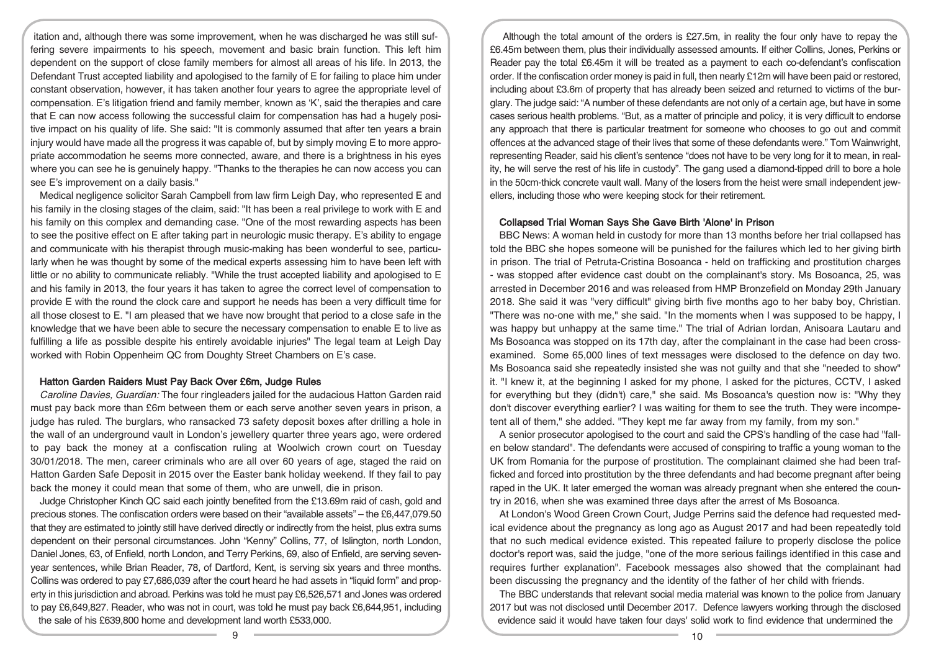itation and, although there was some improvement, when he was discharged he was still suffering severe impairments to his speech, movement and basic brain function. This left him dependent on the support of close family members for almost all areas of his life. In 2013, the Defendant Trust accepted liability and apologised to the family of E for failing to place him under constant observation, however, it has taken another four years to agree the appropriate level of compensation. E's litigation friend and family member, known as 'K', said the therapies and care that E can now access following the successful claim for compensation has had a hugely positive impact on his quality of life. She said: "It is commonly assumed that after ten years a brain injury would have made all the progress it was capable of, but by simply moving E to more appropriate accommodation he seems more connected, aware, and there is a brightness in his eyes where you can see he is genuinely happy. "Thanks to the therapies he can now access you can see E's improvement on a daily basis."

Medical negligence solicitor Sarah Campbell from law firm Leigh Day, who represented E and his family in the closing stages of the claim, said: "It has been a real privilege to work with E and his family on this complex and demanding case. "One of the most rewarding aspects has been to see the positive effect on E after taking part in neurologic music therapy. E's ability to engage and communicate with his therapist through music-making has been wonderful to see, particularly when he was thought by some of the medical experts assessing him to have been left with little or no ability to communicate reliably. "While the trust accepted liability and apologised to E and his family in 2013, the four years it has taken to agree the correct level of compensation to provide E with the round the clock care and support he needs has been a very difficult time for all those closest to E. "I am pleased that we have now brought that period to a close safe in the knowledge that we have been able to secure the necessary compensation to enable E to live as fulfilling a life as possible despite his entirely avoidable injuries" The legal team at Leigh Day worked with Robin Oppenheim QC from Doughty Street Chambers on E's case.

#### Hatton Garden Raiders Must Pay Back Over £6m, Judge Rules

Caroline Davies, Guardian: The four ringleaders jailed for the audacious Hatton Garden raid must pay back more than £6m between them or each serve another seven years in prison, a judge has ruled. The burglars, who ransacked 73 safety deposit boxes after drilling a hole in the wall of an underground vault in London's jewellery quarter three years ago, were ordered to pay back the money at a confiscation ruling at Woolwich crown court on Tuesday 30/01/2018. The men, career criminals who are all over 60 years of age, staged the raid on Hatton Garden Safe Deposit in 2015 over the Easter bank holiday weekend. If they fail to pay back the money it could mean that some of them, who are unwell, die in prison.

Judge Christopher Kinch QC said each jointly benefited from the £13.69m raid of cash, gold and precious stones. The confiscation orders were based on their "available assets" – the £6,447,079.50 that they are estimated to jointly still have derived directly or indirectly from the heist, plus extra sums dependent on their personal circumstances. John "Kenny" Collins, 77, of Islington, north London, Daniel Jones, 63, of Enfield, north London, and Terry Perkins, 69, also of Enfield, are serving sevenyear sentences, while Brian Reader, 78, of Dartford, Kent, is serving six years and three months. Collins was ordered to pay £7,686,039 after the court heard he had assets in "liquid form" and property in this jurisdiction and abroad. Perkins was told he must pay £6,526,571 and Jones was ordered to pay £6,649,827. Reader, who was not in court, was told he must pay back £6,644,951, including the sale of his £639,800 home and development land worth £533,000.

Although the total amount of the orders is £27.5m, in reality the four only have to repay the £6.45m between them, plus their individually assessed amounts. If either Collins, Jones, Perkins or Reader pay the total £6.45m it will be treated as a payment to each co-defendant's confiscation order. If the confiscation order money is paid in full, then nearly £12m will have been paid or restored, including about £3.6m of property that has already been seized and returned to victims of the burglary. The judge said: "A number of these defendants are not only of a certain age, but have in some cases serious health problems. "But, as a matter of principle and policy, it is very difficult to endorse any approach that there is particular treatment for someone who chooses to go out and commit offences at the advanced stage of their lives that some of these defendants were." Tom Wainwright, representing Reader, said his client's sentence "does not have to be very long for it to mean, in reality, he will serve the rest of his life in custody". The gang used a diamond-tipped drill to bore a hole in the 50cm-thick concrete vault wall. Many of the losers from the heist were small independent jewellers, including those who were keeping stock for their retirement.

#### Collapsed Trial Woman Says She Gave Birth 'Alone' in Prison

BBC News: A woman held in custody for more than 13 months before her trial collapsed has told the BBC she hopes someone will be punished for the failures which led to her giving birth in prison. The trial of Petruta-Cristina Bosoanca - held on trafficking and prostitution charges - was stopped after evidence cast doubt on the complainant's story. Ms Bosoanca, 25, was arrested in December 2016 and was released from HMP Bronzefield on Monday 29th January 2018. She said it was "very difficult" giving birth five months ago to her baby boy, Christian. "There was no-one with me," she said. "In the moments when I was supposed to be happy, I was happy but unhappy at the same time." The trial of Adrian Iordan, Anisoara Lautaru and Ms Bosoanca was stopped on its 17th day, after the complainant in the case had been crossexamined. Some 65,000 lines of text messages were disclosed to the defence on day two. Ms Bosoanca said she repeatedly insisted she was not guilty and that she "needed to show" it. "I knew it, at the beginning I asked for my phone, I asked for the pictures, CCTV, I asked for everything but they (didn't) care," she said. Ms Bosoanca's question now is: "Why they don't discover everything earlier? I was waiting for them to see the truth. They were incompetent all of them," she added. "They kept me far away from my family, from my son."

A senior prosecutor apologised to the court and said the CPS's handling of the case had "fallen below standard". The defendants were accused of conspiring to traffic a young woman to the UK from Romania for the purpose of prostitution. The complainant claimed she had been trafficked and forced into prostitution by the three defendants and had become pregnant after being raped in the UK. It later emerged the woman was already pregnant when she entered the country in 2016, when she was examined three days after the arrest of Ms Bosoanca.

At London's Wood Green Crown Court, Judge Perrins said the defence had requested medical evidence about the pregnancy as long ago as August 2017 and had been repeatedly told that no such medical evidence existed. This repeated failure to properly disclose the police doctor's report was, said the judge, "one of the more serious failings identified in this case and requires further explanation". Facebook messages also showed that the complainant had been discussing the pregnancy and the identity of the father of her child with friends.

The BBC understands that relevant social media material was known to the police from January 2017 but was not disclosed until December 2017. Defence lawyers working through the disclosed evidence said it would have taken four days' solid work to find evidence that undermined the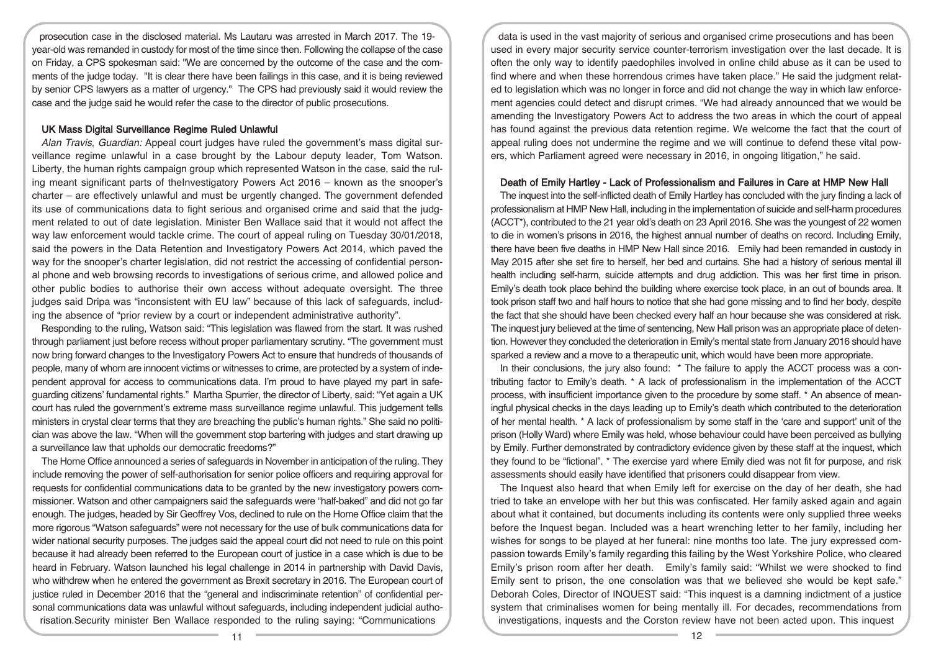prosecution case in the disclosed material. Ms Lautaru was arrested in March 2017. The 19 year-old was remanded in custody for most of the time since then. Following the collapse of the case on Friday, a CPS spokesman said: "We are concerned by the outcome of the case and the comments of the judge today. "It is clear there have been failings in this case, and it is being reviewed by senior CPS lawyers as a matter of urgency." The CPS had previously said it would review the case and the judge said he would refer the case to the director of public prosecutions.

#### UK Mass Digital Surveillance Regime Ruled Unlawful

Alan Travis, Guardian: Appeal court judges have ruled the government's mass digital surveillance regime unlawful in a case brought by the Labour deputy leader, Tom Watson. Liberty, the human rights campaign group which represented Watson in the case, said the ruling meant significant parts of theInvestigatory Powers Act 2016 – known as the snooper's charter – are effectively unlawful and must be urgently changed. The government defended its use of communications data to fight serious and organised crime and said that the judgment related to out of date legislation. Minister Ben Wallace said that it would not affect the way law enforcement would tackle crime. The court of appeal ruling on Tuesday 30/01/2018, said the powers in the Data Retention and Investigatory Powers Act 2014, which paved the way for the snooper's charter legislation, did not restrict the accessing of confidential personal phone and web browsing records to investigations of serious crime, and allowed police and other public bodies to authorise their own access without adequate oversight. The three judges said Dripa was "inconsistent with EU law" because of this lack of safeguards, including the absence of "prior review by a court or independent administrative authority".

Responding to the ruling, Watson said: "This legislation was flawed from the start. It was rushed through parliament just before recess without proper parliamentary scrutiny. "The government must now bring forward changes to the Investigatory Powers Act to ensure that hundreds of thousands of people, many of whom are innocent victims or witnesses to crime, are protected by a system of independent approval for access to communications data. I'm proud to have played my part in safeguarding citizens' fundamental rights." Martha Spurrier, the director of Liberty, said: "Yet again a UK court has ruled the government's extreme mass surveillance regime unlawful. This judgement tells ministers in crystal clear terms that they are breaching the public's human rights." She said no politician was above the law. "When will the government stop bartering with judges and start drawing up a surveillance law that upholds our democratic freedoms?"

The Home Office announced a series of safeguards in November in anticipation of the ruling. They include removing the power of self-authorisation for senior police officers and requiring approval for requests for confidential communications data to be granted by the new investigatory powers commissioner. Watson and other campaigners said the safeguards were "half-baked" and did not go far enough. The judges, headed by Sir Geoffrey Vos, declined to rule on the Home Office claim that the more rigorous "Watson safeguards" were not necessary for the use of bulk communications data for wider national security purposes. The judges said the appeal court did not need to rule on this point because it had already been referred to the European court of justice in a case which is due to be heard in February. Watson launched his legal challenge in 2014 in partnership with David Davis, who withdrew when he entered the government as Brexit secretary in 2016. The European court of justice ruled in December 2016 that the "general and indiscriminate retention" of confidential personal communications data was unlawful without safeguards, including independent judicial authorisation.Security minister Ben Wallace responded to the ruling saying: "Communications

data is used in the vast majority of serious and organised crime prosecutions and has been used in every major security service counter-terrorism investigation over the last decade. It is often the only way to identify paedophiles involved in online child abuse as it can be used to find where and when these horrendous crimes have taken place." He said the judgment related to legislation which was no longer in force and did not change the way in which law enforcement agencies could detect and disrupt crimes. "We had already announced that we would be amending the Investigatory Powers Act to address the two areas in which the court of appeal has found against the previous data retention regime. We welcome the fact that the court of appeal ruling does not undermine the regime and we will continue to defend these vital powers, which Parliament agreed were necessary in 2016, in ongoing litigation," he said.

#### Death of Emily Hartley - Lack of Professionalism and Failures in Care at HMP New Hall

The inquest into the self-inflicted death of Emily Hartley has concluded with the jury finding a lack of professionalism at HMP New Hall, including in the implementation of suicide and self-harm procedures (ACCT\*), contributed to the 21 year old's death on 23 April 2016. She was the youngest of 22 women to die in women's prisons in 2016, the highest annual number of deaths on record. Including Emily, there have been five deaths in HMP New Hall since 2016. Emily had been remanded in custody in May 2015 after she set fire to herself, her bed and curtains. She had a history of serious mental ill health including self-harm, suicide attempts and drug addiction. This was her first time in prison. Emily's death took place behind the building where exercise took place, in an out of bounds area. It took prison staff two and half hours to notice that she had gone missing and to find her body, despite the fact that she should have been checked every half an hour because she was considered at risk. The inquest jury believed at the time of sentencing, New Hall prison was an appropriate place of detention. However they concluded the deterioration in Emily's mental state from January 2016 should have sparked a review and a move to a therapeutic unit, which would have been more appropriate.

In their conclusions, the jury also found: \* The failure to apply the ACCT process was a contributing factor to Emily's death. \* A lack of professionalism in the implementation of the ACCT process, with insufficient importance given to the procedure by some staff. \* An absence of meaningful physical checks in the days leading up to Emily's death which contributed to the deterioration of her mental health. \* A lack of professionalism by some staff in the 'care and support' unit of the prison (Holly Ward) where Emily was held, whose behaviour could have been perceived as bullying by Emily. Further demonstrated by contradictory evidence given by these staff at the inquest, which they found to be "fictional". \* The exercise yard where Emily died was not fit for purpose, and risk assessments should easily have identified that prisoners could disappear from view.

The Inquest also heard that when Emily left for exercise on the day of her death, she had tried to take an envelope with her but this was confiscated. Her family asked again and again about what it contained, but documents including its contents were only supplied three weeks before the Inquest began. Included was a heart wrenching letter to her family, including her wishes for songs to be played at her funeral: nine months too late. The jury expressed compassion towards Emily's family regarding this failing by the West Yorkshire Police, who cleared Emily's prison room after her death. Emily's family said: "Whilst we were shocked to find Emily sent to prison, the one consolation was that we believed she would be kept safe." Deborah Coles, Director of INQUEST said: "This inquest is a damning indictment of a justice system that criminalises women for being mentally ill. For decades, recommendations from investigations, inquests and the Corston review have not been acted upon. This inquest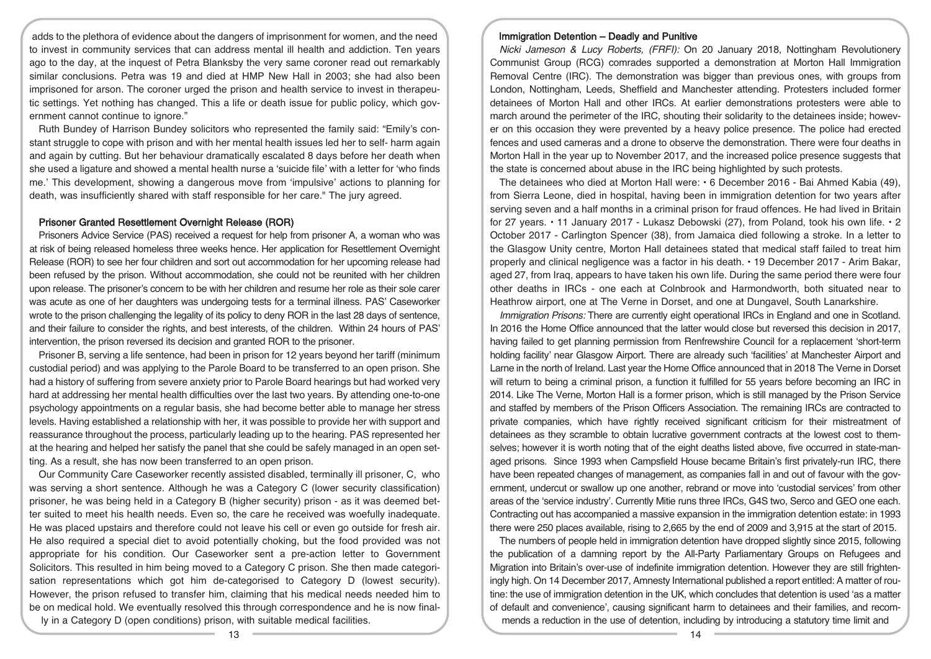adds to the plethora of evidence about the dangers of imprisonment for women, and the need to invest in community services that can address mental ill health and addiction. Ten years ago to the day, at the inquest of Petra Blanksby the very same coroner read out remarkably similar conclusions. Petra was 19 and died at HMP New Hall in 2003; she had also been imprisoned for arson. The coroner urged the prison and health service to invest in therapeutic settings. Yet nothing has changed. This a life or death issue for public policy, which government cannot continue to ignore."

Ruth Bundey of Harrison Bundey solicitors who represented the family said: "Emily's constant struggle to cope with prison and with her mental health issues led her to self- harm again and again by cutting. But her behaviour dramatically escalated 8 days before her death when she used a ligature and showed a mental health nurse a 'suicide file' with a letter for 'who finds me.' This development, showing a dangerous move from 'impulsive' actions to planning for death, was insufficiently shared with staff responsible for her care." The jury agreed.

#### Prisoner Granted Resettlement Overnight Release (ROR)

Prisoners Advice Service (PAS) received a request for help from prisoner A, a woman who was at risk of being released homeless three weeks hence. Her application for Resettlement Overnight Release (ROR) to see her four children and sort out accommodation for her upcoming release had been refused by the prison. Without accommodation, she could not be reunited with her children upon release. The prisoner's concern to be with her children and resume her role as their sole carer was acute as one of her daughters was undergoing tests for a terminal illness. PAS' Caseworker wrote to the prison challenging the legality of its policy to deny ROR in the last 28 days of sentence, and their failure to consider the rights, and best interests, of the children. Within 24 hours of PAS' intervention, the prison reversed its decision and granted ROR to the prisoner.

Prisoner B, serving a life sentence, had been in prison for 12 years beyond her tariff (minimum custodial period) and was applying to the Parole Board to be transferred to an open prison. She had a history of suffering from severe anxiety prior to Parole Board hearings but had worked very hard at addressing her mental health difficulties over the last two years. By attending one-to-one psychology appointments on a regular basis, she had become better able to manage her stress levels. Having established a relationship with her, it was possible to provide her with support and reassurance throughout the process, particularly leading up to the hearing. PAS represented her at the hearing and helped her satisfy the panel that she could be safely managed in an open setting. As a result, she has now been transferred to an open prison.

Our Community Care Caseworker recently assisted disabled, terminally ill prisoner, C, who was serving a short sentence. Although he was a Category C (lower security classification) prisoner, he was being held in a Category B (higher security) prison - as it was deemed better suited to meet his health needs. Even so, the care he received was woefully inadequate. He was placed upstairs and therefore could not leave his cell or even go outside for fresh air. He also required a special diet to avoid potentially choking, but the food provided was not appropriate for his condition. Our Caseworker sent a pre-action letter to Government Solicitors. This resulted in him being moved to a Category C prison. She then made categorisation representations which got him de-categorised to Category D (lowest security). However, the prison refused to transfer him, claiming that his medical needs needed him to be on medical hold. We eventually resolved this through correspondence and he is now finally in a Category D (open conditions) prison, with suitable medical facilities.

#### Immigration Detention – Deadly and Punitive

Nicki Jameson & Lucy Roberts, (FRFI): On 20 January 2018, Nottingham Revolutionery Communist Group (RCG) comrades supported a demonstration at Morton Hall Immigration Removal Centre (IRC). The demonstration was bigger than previous ones, with groups from London, Nottingham, Leeds, Sheffield and Manchester attending. Protesters included former detainees of Morton Hall and other IRCs. At earlier demonstrations protesters were able to march around the perimeter of the IRC, shouting their solidarity to the detainees inside; however on this occasion they were prevented by a heavy police presence. The police had erected fences and used cameras and a drone to observe the demonstration. There were four deaths in Morton Hall in the year up to November 2017, and the increased police presence suggests that the state is concerned about abuse in the IRC being highlighted by such protests.

The detainees who died at Morton Hall were: • 6 December 2016 - Bai Ahmed Kabia (49), from Sierra Leone, died in hospital, having been in immigration detention for two years after serving seven and a half months in a criminal prison for fraud offences. He had lived in Britain for 27 years. • 11 January 2017 - Lukasz Debowski (27), from Poland, took his own life. • 2 October 2017 - Carlington Spencer (38), from Jamaica died following a stroke. In a letter to the Glasgow Unity centre, Morton Hall detainees stated that medical staff failed to treat him properly and clinical negligence was a factor in his death. • 19 December 2017 - Arim Bakar, aged 27, from Iraq, appears to have taken his own life. During the same period there were four other deaths in IRCs - one each at Colnbrook and Harmondworth, both situated near to Heathrow airport, one at The Verne in Dorset, and one at Dungavel, South Lanarkshire.

Immigration Prisons: There are currently eight operational IRCs in England and one in Scotland. In 2016 the Home Office announced that the latter would close but reversed this decision in 2017, having failed to get planning permission from Renfrewshire Council for a replacement 'short-term holding facility' near Glasgow Airport. There are already such 'facilities' at Manchester Airport and Larne in the north of Ireland. Last year the Home Office announced that in 2018 The Verne in Dorset will return to being a criminal prison, a function it fulfilled for 55 years before becoming an IRC in 2014. Like The Verne, Morton Hall is a former prison, which is still managed by the Prison Service and staffed by members of the Prison Officers Association. The remaining IRCs are contracted to private companies, which have rightly received significant criticism for their mistreatment of detainees as they scramble to obtain lucrative government contracts at the lowest cost to themselves; however it is worth noting that of the eight deaths listed above, five occurred in state-managed prisons. Since 1993 when Campsfield House became Britain's first privately-run IRC, there have been repeated changes of management, as companies fall in and out of favour with the government, undercut or swallow up one another, rebrand or move into 'custodial services' from other areas of the 'service industry'. Currently Mitie runs three IRCs, G4S two, Serco and GEO one each. Contracting out has accompanied a massive expansion in the immigration detention estate: in 1993 there were 250 places available, rising to 2,665 by the end of 2009 and 3,915 at the start of 2015.

The numbers of people held in immigration detention have dropped slightly since 2015, following the publication of a damning report by the All-Party Parliamentary Groups on Refugees and Migration into Britain's over-use of indefinite immigration detention. However they are still frighteningly high. On 14 December 2017, Amnesty International published a report entitled: A matter of routine: the use of immigration detention in the UK, which concludes that detention is used 'as a matter of default and convenience', causing significant harm to detainees and their families, and recommends a reduction in the use of detention, including by introducing a statutory time limit and